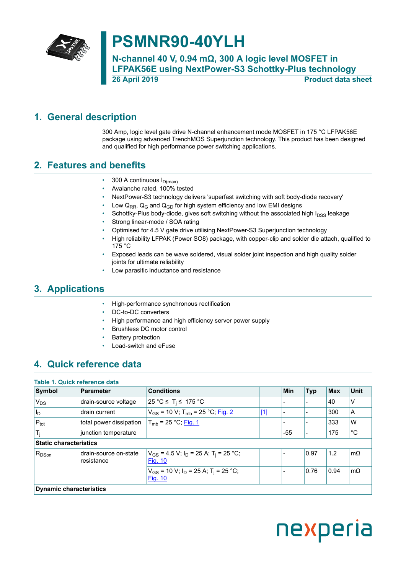

# **PSMNR90-40YLH**

**N-channel 40 V, 0.94 mΩ, 300 A logic level MOSFET in LFPAK56E using NextPower-S3 Schottky-Plus technology 26 April 2019 Product data sheet**

### <span id="page-0-0"></span>**1. General description**

300 Amp, logic level gate drive N-channel enhancement mode MOSFET in 175 °C LFPAK56E package using advanced TrenchMOS Superjunction technology. This product has been designed and qualified for high performance power switching applications.

### <span id="page-0-1"></span>**2. Features and benefits**

- 300 A continuous  $I_{D(max)}$
- Avalanche rated, 100% tested
- NextPower-S3 technology delivers 'superfast switching with soft body-diode recovery'
- Low  $\mathbb{Q}_{RR}$ ,  $\mathbb{Q}_{G}$  and  $\mathbb{Q}_{GD}$  for high system efficiency and low EMI designs
- Schottky-Plus body-diode, gives soft switching without the associated high  $I_{\text{DSS}}$  leakage
- Strong linear-mode / SOA rating
- Optimised for 4.5 V gate drive utilising NextPower-S3 Superjunction technology
- High reliability LFPAK (Power SO8) package, with copper-clip and solder die attach, qualified to 175 °C
- Exposed leads can be wave soldered, visual solder joint inspection and high quality solder joints for ultimate reliability
- Low parasitic inductance and resistance

### <span id="page-0-2"></span>**3. Applications**

- High-performance synchronous rectification
- DC-to-DC converters
- High performance and high efficiency server power supply
- Brushless DC motor control
- **Battery protection**
- Load-switch and eFuse

# <span id="page-0-3"></span>**4. Quick reference data**

### **Table 1. Quick reference data**

| Symbol                         | <b>Parameter</b>                    | <b>Conditions</b>                                                  |             | Min   | <b>Typ</b> | <b>Max</b> | <b>Unit</b>    |  |
|--------------------------------|-------------------------------------|--------------------------------------------------------------------|-------------|-------|------------|------------|----------------|--|
| $V_{DS}$                       | drain-source voltage                | 25 °C ≤ T <sub>i</sub> ≤ 175 °C                                    |             |       |            | 40         | V              |  |
| ll <sub>D</sub>                | drain current                       | $V_{GS}$ = 10 V; T <sub>mb</sub> = 25 °C; Fig. 2                   | $\vert$ [1] |       |            | 300        | $\overline{A}$ |  |
| $P_{\text{tot}}$               | total power dissipation             | $T_{mb}$ = 25 °C; Fig. 1                                           |             |       |            | 333        | W              |  |
| $T_i$                          | junction temperature                |                                                                    |             | $-55$ |            | 175        | $^{\circ}C$    |  |
| <b>Static characteristics</b>  |                                     |                                                                    |             |       |            |            |                |  |
| $R_{DSon}$                     | drain-source on-state<br>resistance | $V_{GS}$ = 4.5 V; $I_D$ = 25 A; T <sub>i</sub> = 25 °C;<br>Fig. 10 |             |       | 0.97       | 1.2        | $m\Omega$      |  |
|                                |                                     | $V_{GS}$ = 10 V; $I_D$ = 25 A; T <sub>i</sub> = 25 °C;<br>Fig. 10  |             |       | 0.76       | 0.94       | $m\Omega$      |  |
| <b>Dynamic characteristics</b> |                                     |                                                                    |             |       |            |            |                |  |

# nexperia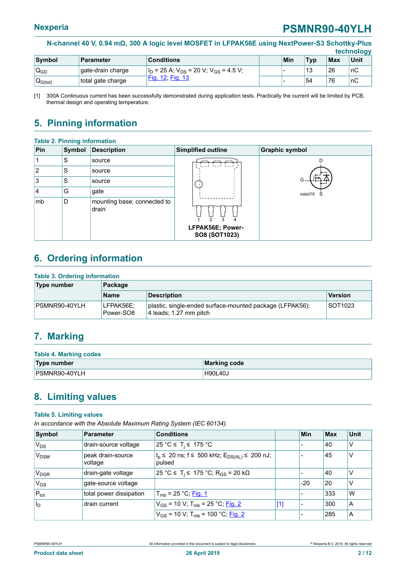<span id="page-1-0"></span>**N-channel 40 V, 0.94 mΩ, 300 A logic level MOSFET in LFPAK56E using NextPower-S3 Schottky-Plus**

|              |                   |                                                         |     |            |            | technology |
|--------------|-------------------|---------------------------------------------------------|-----|------------|------------|------------|
| Symbol       | Parameter         | <b>Conditions</b>                                       | Min | <b>Typ</b> | <b>Max</b> | Unit       |
| $Q_{GD}$     | gate-drain charge | $I_D$ = 25 A; $V_{DS}$ = 20 V; V <sub>GS</sub> = 4.5 V; |     | 12<br>ں ا  | 26         | nС         |
| $Q_{G(tot)}$ | total gate charge | Fig. 12, Fig. 13                                        |     | 54         | 76         | nС         |

[1] 300A Continuous current has been successfully demonstrated during application tests. Practically the current will be limited by PCB, thermal design and operating temperature.

# <span id="page-1-1"></span>**5. Pinning information**

| <b>Table 2. Pinning information</b> |        |                                      |                                                                            |                       |  |  |  |
|-------------------------------------|--------|--------------------------------------|----------------------------------------------------------------------------|-----------------------|--|--|--|
| Pin                                 | Symbol | <b>Description</b>                   | Simplified outline                                                         | <b>Graphic symbol</b> |  |  |  |
|                                     | S      | source                               |                                                                            |                       |  |  |  |
| 2                                   | S      | source                               |                                                                            |                       |  |  |  |
| 3                                   | S      | source                               |                                                                            |                       |  |  |  |
| 14                                  | G      | gate                                 |                                                                            | mbb076<br>S           |  |  |  |
| mb                                  | D      | mounting base; connected to<br>drain | $\mathfrak{D}$<br>3<br>$\overline{4}$<br>LFPAK56E; Power-<br>SO8 (SOT1023) |                       |  |  |  |

### <span id="page-1-2"></span>**6. Ordering information**

| <b>Table 3. Ordering information</b> |                        |                                                                                       |                |  |  |  |  |
|--------------------------------------|------------------------|---------------------------------------------------------------------------------------|----------------|--|--|--|--|
| Type number                          | Package                |                                                                                       |                |  |  |  |  |
|                                      | <b>Name</b>            | Description                                                                           | <b>Version</b> |  |  |  |  |
| PSMNR90-40YLH                        | LFPAK56E:<br>Power-SO8 | plastic, single-ended surface-mounted package (LFPAK56);<br>$ 4$ leads; 1.27 mm pitch | SOT1023        |  |  |  |  |

# <span id="page-1-3"></span>**7. Marking**

| <b>Table 4. Marking codes</b> |                     |
|-------------------------------|---------------------|
| Type number                   | <b>Marking code</b> |
| PSMNR90-40YLH                 | H90L40J             |

# <span id="page-1-4"></span>**8. Limiting values**

#### **Table 5. Limiting values**

*In accordance with the Absolute Maximum Rating System (IEC 60134).*

| Symbol                 | <b>Parameter</b>             | <b>Conditions</b>                                            |       | Min   | Max | <b>Unit</b> |
|------------------------|------------------------------|--------------------------------------------------------------|-------|-------|-----|-------------|
| $V_{DS}$               | drain-source voltage         | 25 °C ≤ T <sub>i</sub> ≤ 175 °C                              |       |       | 40  | ١V          |
| V <sub>DSM</sub>       | peak drain-source<br>voltage | $t_0$ ≤ 20 ns; f ≤ 500 kHz; $E_{DS(AL)}$ ≤ 200 nJ;<br>pulsed |       |       | 45  | V           |
| <b>V<sub>DGR</sub></b> | drain-gate voltage           | $25 °C$ ≤ T <sub>i</sub> ≤ 175 °C; R <sub>GS</sub> = 20 kΩ   |       |       | 40  | ν           |
| $V_{GS}$               | gate-source voltage          |                                                              |       | $-20$ | 20  | ١V          |
| $P_{\text{tot}}$       | total power dissipation      | $T_{mb}$ = 25 °C; Fig. 1                                     |       |       | 333 | W           |
| $ I_{\mathsf{D}}$      | drain current                | $V_{GS}$ = 10 V; T <sub>mb</sub> = 25 °C; <u>Fig. 2</u>      | $[1]$ |       | 300 | ΙA          |
|                        |                              | $V_{GS}$ = 10 V; T <sub>mb</sub> = 100 °C; Fig. 2            |       |       | 285 | ΙA          |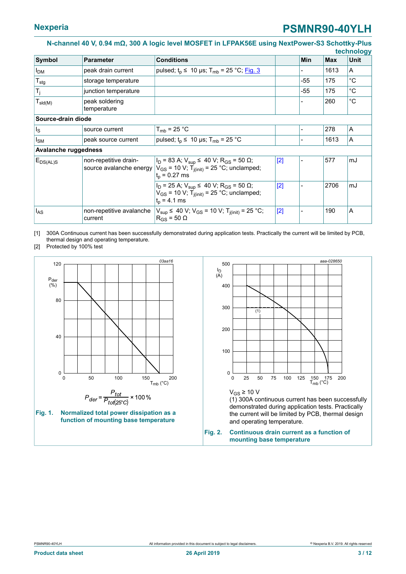### <span id="page-2-2"></span>**N-channel 40 V, 0.94 mΩ, 300 A logic level MOSFET in LFPAK56E using NextPower-S3 Schottky-Plus**

|                            |                                                  |                                                                                                                                                   |       |            |            | technology |
|----------------------------|--------------------------------------------------|---------------------------------------------------------------------------------------------------------------------------------------------------|-------|------------|------------|------------|
| <b>Symbol</b>              | <b>Parameter</b>                                 | <b>Conditions</b>                                                                                                                                 |       | <b>Min</b> | <b>Max</b> | Unit       |
| <b>I</b> <sub>DM</sub>     | peak drain current                               | pulsed; $t_p$ ≤ 10 µs; T <sub>mb</sub> = 25 °C; Fig. 3                                                                                            |       |            | 1613       | A          |
| ${\mathsf T}_{\text{stg}}$ | storage temperature                              |                                                                                                                                                   |       | -55        | 175        | °C         |
| $T_j$                      | junction temperature                             |                                                                                                                                                   |       | $-55$      | 175        | °C         |
| $T_{\text{sld(M)}}$        | peak soldering<br>temperature                    |                                                                                                                                                   |       |            | 260        | °C         |
| Source-drain diode         |                                                  |                                                                                                                                                   |       |            |            |            |
| Is                         | source current                                   | $T_{mb}$ = 25 °C                                                                                                                                  |       |            | 278        | A          |
| $I_{\text{SM}}$            | peak source current                              | pulsed; $t_p \leq 10 \mu s$ ; T <sub>mb</sub> = 25 °C                                                                                             |       |            | 1613       | A          |
| Avalanche ruggedness       |                                                  |                                                                                                                                                   |       |            |            |            |
| $E_{DS(AL)S}$              | non-repetitive drain-<br>source avalanche energy | $I_D = 83$ A; $V_{sup} \le 40$ V; R <sub>GS</sub> = 50 $\Omega$ ;<br>$V_{GS}$ = 10 V; T <sub>i(init)</sub> = 25 °C; unclamped;<br>$t_n = 0.27$ ms | [2]   |            | 577        | mJ         |
|                            |                                                  | $I_D$ = 25 A; $V_{sup}$ ≤ 40 V; R <sub>GS</sub> = 50 $\Omega$ ;<br>$V_{GS}$ = 10 V; T <sub>j(init)</sub> = 25 °C; unclamped;<br>$t_p = 4.1$ ms    | [2]   |            | 2706       | mJ         |
| <b>IAS</b>                 | non-repetitive avalanche<br>current              | $V_{\text{sup}} \le 40$ V; V <sub>GS</sub> = 10 V; T <sub>i(init)</sub> = 25 °C;<br>$R_{GS}$ = 50 $\Omega$                                        | $[2]$ |            | 190        | А          |

[1] 300A Continuous current has been successfully demonstrated during application tests. Practically the current will be limited by PCB, thermal design and operating temperature.

[2] Protected by 100% test

<span id="page-2-1"></span>



<span id="page-2-0"></span>

the current will be limited by PCB, thermal design and operating temperature.

**Fig. 2. Continuous drain current as a function of mounting base temperature**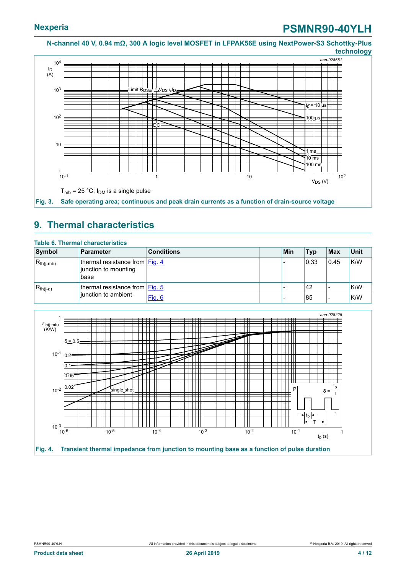**N-channel 40 V, 0.94 mΩ, 300 A logic level MOSFET in LFPAK56E using NextPower-S3 Schottky-Plus technology**

<span id="page-3-0"></span>

### <span id="page-3-2"></span>**9. Thermal characteristics**

| <b>Symbol</b>  | Parameter                                                      | <b>Conditions</b> | Min | <b>Typ</b> | $ $ Max | Unit |
|----------------|----------------------------------------------------------------|-------------------|-----|------------|---------|------|
| $R_{th(i-mb)}$ | thermal resistance from Fig. 4<br>junction to mounting<br>base |                   |     | 0.33       | 0.45    | K/W  |
| $R_{th(i-a)}$  | thermal resistance from $Eig. 5$                               |                   |     | 42         |         | K/W  |
|                | junction to ambient                                            | <b>Fig. 6</b>     |     | 85         |         | K/W  |

<span id="page-3-1"></span>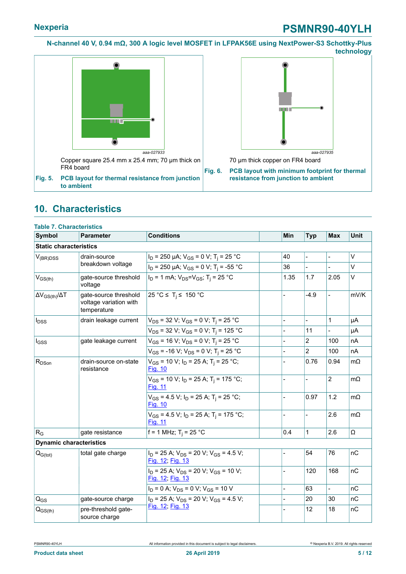**N-channel 40 V, 0.94 mΩ, 300 A logic level MOSFET in LFPAK56E using NextPower-S3 Schottky-Plus technology**

<span id="page-4-0"></span>

<span id="page-4-1"></span>

70 µm thick copper on FR4 board

**Fig. 6. PCB layout with minimum footprint for thermal resistance from junction to ambient**

# <span id="page-4-2"></span>**10. Characteristics**

| <b>Table 7. Characteristics</b> |                                                                |                                                                                   |                |                          |                |             |
|---------------------------------|----------------------------------------------------------------|-----------------------------------------------------------------------------------|----------------|--------------------------|----------------|-------------|
| Symbol                          | <b>Parameter</b>                                               | <b>Conditions</b>                                                                 | Min            | <b>Typ</b>               | <b>Max</b>     | <b>Unit</b> |
| <b>Static characteristics</b>   |                                                                |                                                                                   |                |                          |                |             |
| $V_{(BR)DSS}$                   | drain-source                                                   | $I_D$ = 250 µA; $V_{GS}$ = 0 V; T <sub>i</sub> = 25 °C                            | 40             | $\frac{1}{2}$            | -              | V           |
|                                 | breakdown voltage                                              | $I_D$ = 250 µA; $V_{GS}$ = 0 V; T <sub>i</sub> = -55 °C                           | 36             |                          |                | $\vee$      |
| $V_{GS(th)}$                    | gate-source threshold<br>voltage                               | $I_D = 1$ mA; $V_{DS} = V_{GS}$ ; T <sub>i</sub> = 25 °C                          | 1.35           | 1.7                      | 2.05           | V           |
| $\Delta V_{GS(th)} / \Delta T$  | gate-source threshold<br>voltage variation with<br>temperature | 25 °C ≤ T <sub>i</sub> ≤ 150 °C                                                   |                | $-4.9$                   |                | mV/K        |
| <b>I</b> <sub>DSS</sub>         | drain leakage current                                          | $V_{DS}$ = 32 V; V <sub>GS</sub> = 0 V; T <sub>i</sub> = 25 °C                    |                | $\overline{\phantom{0}}$ | 1              | μA          |
|                                 |                                                                | $V_{DS}$ = 32 V; V <sub>GS</sub> = 0 V; T <sub>i</sub> = 125 °C                   |                | 11                       |                | μA          |
| $I_{GSS}$                       | gate leakage current                                           | $V_{GS}$ = 16 V; $V_{DS}$ = 0 V; T <sub>i</sub> = 25 °C                           |                | $\overline{2}$           | 100            | nA          |
|                                 |                                                                | $V_{GS}$ = -16 V; V <sub>DS</sub> = 0 V; T <sub>i</sub> = 25 °C                   |                | 2                        | 100            | nA          |
| $R_{DSon}$                      | drain-source on-state<br>resistance                            | $V_{GS}$ = 10 V; I <sub>D</sub> = 25 A; T <sub>i</sub> = 25 °C;<br><b>Fig. 10</b> |                | 0.76                     | 0.94           | $m\Omega$   |
|                                 |                                                                | $V_{GS}$ = 10 V; $I_D$ = 25 A; T <sub>i</sub> = 175 °C;<br><b>Fig. 11</b>         |                |                          | $\overline{2}$ | $m\Omega$   |
|                                 |                                                                | $V_{GS}$ = 4.5 V; $I_D$ = 25 A; T <sub>i</sub> = 25 °C;<br><b>Fig. 10</b>         | $\overline{a}$ | 0.97                     | 1.2            | $m\Omega$   |
|                                 |                                                                | $V_{GS}$ = 4.5 V; $I_D$ = 25 A; T <sub>i</sub> = 175 °C;<br>Fig. 11               |                |                          | 2.6            | $m\Omega$   |
| $R_G$                           | gate resistance                                                | f = 1 MHz; $T_i$ = 25 °C                                                          | 0.4            | $\mathbf{1}$             | 2.6            | Ω           |
| <b>Dynamic characteristics</b>  |                                                                |                                                                                   |                |                          |                |             |
| $Q_{G(tot)}$                    | total gate charge                                              | $I_D$ = 25 A; $V_{DS}$ = 20 V; $V_{GS}$ = 4.5 V;<br>Fig. 12; Fig. 13              |                | 54                       | 76             | nC          |
|                                 |                                                                | $I_D$ = 25 A; $V_{DS}$ = 20 V; $V_{GS}$ = 10 V;<br>Fig. 12; Fig. 13               |                | 120                      | 168            | nC          |
|                                 |                                                                | $I_D = 0$ A; $V_{DS} = 0$ V; $V_{GS} = 10$ V                                      | $\overline{a}$ | 63                       | $\overline{a}$ | nC          |
| $Q_{GS}$                        | gate-source charge                                             | $I_D$ = 25 A; $V_{DS}$ = 20 V; $V_{GS}$ = 4.5 V;                                  |                | 20                       | 30             | nC          |
| $Q_{GS(th)}$                    | pre-threshold gate-<br>source charge                           | Fig. 12; Fig. 13                                                                  |                | 12                       | 18             | nC          |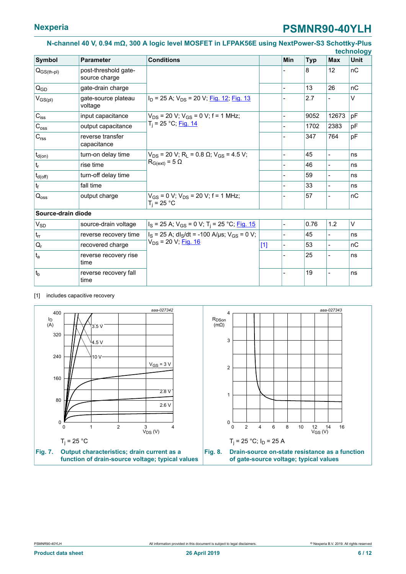<span id="page-5-0"></span>**N-channel 40 V, 0.94 mΩ, 300 A logic level MOSFET in LFPAK56E using NextPower-S3 Schottky-Plus technology**

| <b>Symbol</b>             | <b>Parameter</b>                      | <b>Conditions</b>                                                         |       | Min                      | <b>Typ</b> | <b>Max</b>     | technology<br><b>Unit</b> |
|---------------------------|---------------------------------------|---------------------------------------------------------------------------|-------|--------------------------|------------|----------------|---------------------------|
| $Q_{GS(th-pl)}$           | post-threshold gate-<br>source charge |                                                                           |       |                          | 8          | 12             | nC                        |
| Q <sub>GD</sub>           | gate-drain charge                     |                                                                           |       |                          | 13         | 26             | nC                        |
| $V_{GS(pl)}$              | gate-source plateau<br>voltage        | $I_D$ = 25 A; $V_{DS}$ = 20 V; Fig. 12; Fig. 13                           |       |                          | 2.7        |                | $\vee$                    |
| $C_{\text{iss}}$          | input capacitance                     | $V_{DS}$ = 20 V; V <sub>GS</sub> = 0 V; f = 1 MHz;                        |       | $\overline{a}$           | 9052       | 12673          | pF                        |
| $C_{\rm oss}$             | output capacitance                    | T <sub>i</sub> = 25 °C; Fig. 14                                           |       |                          | 1702       | 2383           | pF                        |
| $C_{rss}$                 | reverse transfer<br>capacitance       |                                                                           |       |                          | 347        | 764            | pF                        |
| $t_{d(on)}$               | turn-on delay time                    | $V_{DS}$ = 20 V; R <sub>1</sub> = 0.8 $\Omega$ ; V <sub>GS</sub> = 4.5 V; |       |                          | 45         |                | ns                        |
| $\mathsf{t}_{\mathsf{r}}$ | rise time                             | $R_{G(ext)} = 5 \Omega$                                                   |       |                          | 46         |                | ns                        |
| $t_{d(\text{off})}$       | turn-off delay time                   |                                                                           |       | $\overline{\phantom{a}}$ | 59         | $\overline{a}$ | ns                        |
| $t_{\rm f}$               | fall time                             |                                                                           |       |                          | 33         |                | ns                        |
| $Q_{\text{oss}}$          | output charge                         | $V_{GS}$ = 0 V; $V_{DS}$ = 20 V; f = 1 MHz;<br>$T_i = 25 °C$              |       |                          | 57         |                | nC                        |
| Source-drain diode        |                                       |                                                                           |       |                          |            |                |                           |
| $V_{SD}$                  | source-drain voltage                  | $I_S$ = 25 A; $V_{GS}$ = 0 V; T <sub>i</sub> = 25 °C; Fig. 15             |       | $\overline{a}$           | 0.76       | 1.2            | $\vee$                    |
| $t_{rr}$                  | reverse recovery time                 | $I_S = 25$ A; dl <sub>S</sub> /dt = -100 A/µs; V <sub>GS</sub> = 0 V;     |       | $\overline{\phantom{0}}$ | 45         | $\overline{a}$ | ns                        |
| $Q_r$                     | recovered charge                      | $V_{DS}$ = 20 V; Fig. 16                                                  | $[1]$ |                          | 53         | $\overline{a}$ | nC                        |
| $t_{a}$                   | reverse recovery rise<br>time         |                                                                           |       |                          | 25         |                | ns                        |
| $ t_{b}$                  | reverse recovery fall<br>time         |                                                                           |       |                          | 19         |                | ns                        |

#### [1] includes capacitive recovery

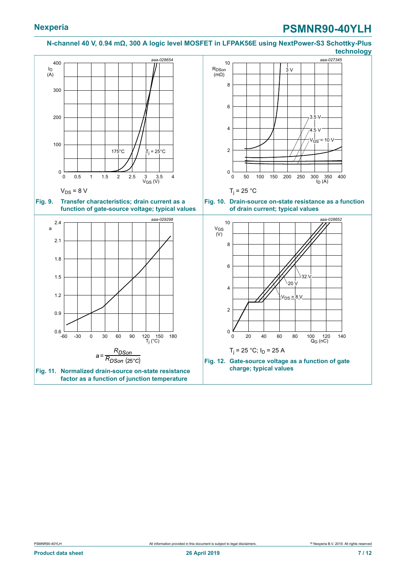<span id="page-6-1"></span><span id="page-6-0"></span>**N-channel 40 V, 0.94 mΩ, 300 A logic level MOSFET in LFPAK56E using NextPower-S3 Schottky-Plus technology**

<span id="page-6-2"></span>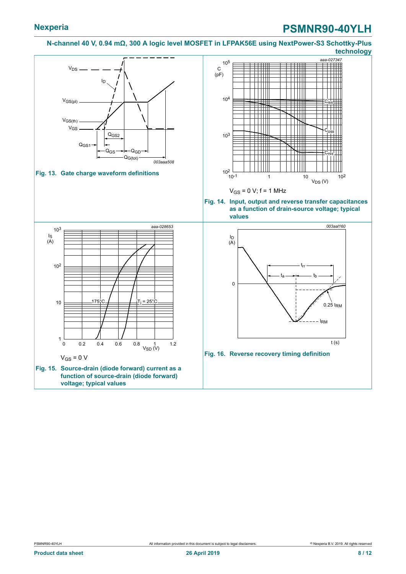#### <span id="page-7-1"></span>**N-channel 40 V, 0.94 mΩ, 300 A logic level MOSFET in LFPAK56E using NextPower-S3 Schottky-Plus technology**

<span id="page-7-3"></span><span id="page-7-2"></span><span id="page-7-0"></span>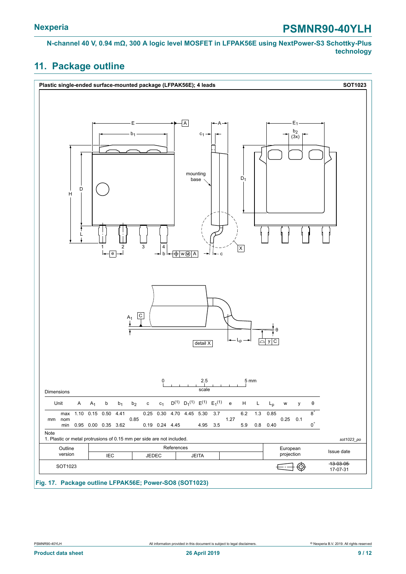**N-channel 40 V, 0.94 mΩ, 300 A logic level MOSFET in LFPAK56E using NextPower-S3 Schottky-Plus technology**

### <span id="page-8-0"></span>**11. Package outline**

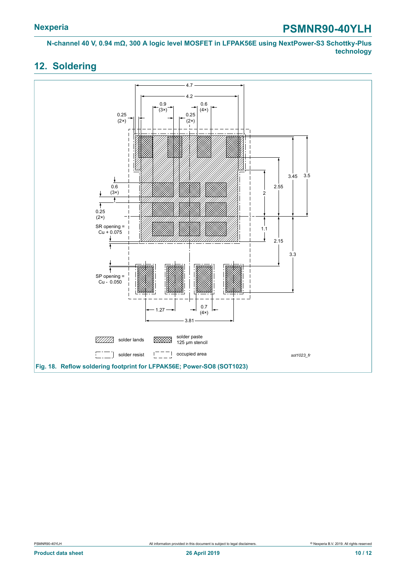**N-channel 40 V, 0.94 mΩ, 300 A logic level MOSFET in LFPAK56E using NextPower-S3 Schottky-Plus technology**

# <span id="page-9-0"></span>**12. Soldering**

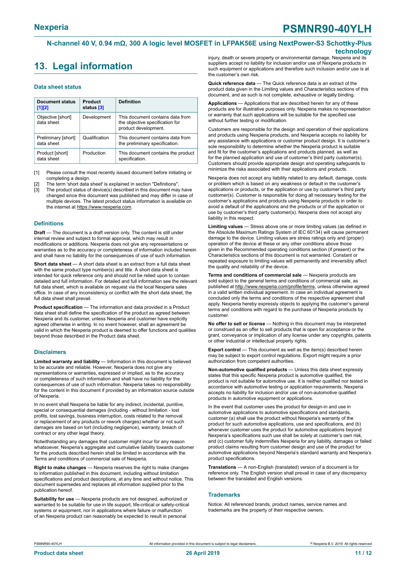#### **N-channel 40 V, 0.94 mΩ, 300 A logic level MOSFET in LFPAK56E using NextPower-S3 Schottky-Plus technology**

# <span id="page-10-0"></span>**13. Legal information**

#### **Data sheet status**

| <b>Document status</b><br>$[1]$ [2] | <b>Product</b><br>status [3] | <b>Definition</b>                                                                           |
|-------------------------------------|------------------------------|---------------------------------------------------------------------------------------------|
| Objective [short]<br>data sheet     | Development                  | This document contains data from<br>the objective specification for<br>product development. |
| Preliminary [short]<br>data sheet   | Qualification                | This document contains data from<br>the preliminary specification.                          |
| Product [short]<br>data sheet       | Production                   | This document contains the product<br>specification.                                        |

[1] Please consult the most recently issued document before initiating or completing a design.

The term 'short data sheet' is explained in section "Definitions"

[3] The product status of device(s) described in this document may have changed since this document was published and may differ in case of multiple devices. The latest product status information is available on the internet at [https://www.nexperia.com.](https://www.nexperia.com)

#### **Definitions**

**Draft** — The document is a draft version only. The content is still under internal review and subject to formal approval, which may result in modifications or additions. Nexperia does not give any representations or warranties as to the accuracy or completeness of information included herein and shall have no liability for the consequences of use of such information.

**Short data sheet** — A short data sheet is an extract from a full data sheet with the same product type number(s) and title. A short data sheet is intended for quick reference only and should not be relied upon to contain detailed and full information. For detailed and full information see the relevant full data sheet, which is available on request via the local Nexperia sales office. In case of any inconsistency or conflict with the short data sheet, the full data sheet shall prevail.

**Product specification** — The information and data provided in a Product data sheet shall define the specification of the product as agreed between Nexperia and its customer, unless Nexperia and customer have explicitly agreed otherwise in writing. In no event however, shall an agreement be valid in which the Nexperia product is deemed to offer functions and qualities beyond those described in the Product data sheet.

#### **Disclaimers**

**Limited warranty and liability** — Information in this document is believed to be accurate and reliable. However, Nexperia does not give any representations or warranties, expressed or implied, as to the accuracy or completeness of such information and shall have no liability for the consequences of use of such information. Nexperia takes no responsibility for the content in this document if provided by an information source outside of Nexperia.

In no event shall Nexperia be liable for any indirect, incidental, punitive, special or consequential damages (including - without limitation - lost profits, lost savings, business interruption, costs related to the removal or replacement of any products or rework charges) whether or not such damages are based on tort (including negligence), warranty, breach of contract or any other legal theory.

Notwithstanding any damages that customer might incur for any reason whatsoever, Nexperia's aggregate and cumulative liability towards customer for the products described herein shall be limited in accordance with the Terms and conditions of commercial sale of Nexperia.

**Right to make changes** — Nexperia reserves the right to make changes to information published in this document, including without limitation specifications and product descriptions, at any time and without notice. This document supersedes and replaces all information supplied prior to the publication hereof

**Suitability for use** — Nexperia products are not designed, authorized or warranted to be suitable for use in life support, life-critical or safety-critical systems or equipment, nor in applications where failure or malfunction of an Nexperia product can reasonably be expected to result in personal

injury, death or severe property or environmental damage. Nexperia and its suppliers accept no liability for inclusion and/or use of Nexperia products in such equipment or applications and therefore such inclusion and/or use is at the customer's own risk.

**Quick reference data** — The Quick reference data is an extract of the product data given in the Limiting values and Characteristics sections of this document, and as such is not complete, exhaustive or legally binding.

**Applications** — Applications that are described herein for any of these products are for illustrative purposes only. Nexperia makes no representation or warranty that such applications will be suitable for the specified use without further testing or modification.

Customers are responsible for the design and operation of their applications and products using Nexperia products, and Nexperia accepts no liability for any assistance with applications or customer product design. It is customer's sole responsibility to determine whether the Nexperia product is suitable and fit for the customer's applications and products planned, as well as for the planned application and use of customer's third party customer(s). Customers should provide appropriate design and operating safeguards to minimize the risks associated with their applications and products.

Nexperia does not accept any liability related to any default, damage, costs or problem which is based on any weakness or default in the customer's applications or products, or the application or use by customer's third party customer(s). Customer is responsible for doing all necessary testing for the customer's applications and products using Nexperia products in order to avoid a default of the applications and the products or of the application or use by customer's third party customer(s). Nexperia does not accept any liability in this respect.

**Limiting values** — Stress above one or more limiting values (as defined in the Absolute Maximum Ratings System of IEC 60134) will cause permanent damage to the device. Limiting values are stress ratings only and (proper) operation of the device at these or any other conditions above those given in the Recommended operating conditions section (if present) or the Characteristics sections of this document is not warranted. Constant or repeated exposure to limiting values will permanently and irreversibly affect the quality and reliability of the device.

**Terms and conditions of commercial sale** — Nexperia products are sold subject to the general terms and conditions of commercial sale, as published at [http://www.nexperia.com/profile/terms,](http://www.nexperia.com/profile/terms) unless otherwise agreed in a valid written individual agreement. In case an individual agreement is concluded only the terms and conditions of the respective agreement shall apply. Nexperia hereby expressly objects to applying the customer's general terms and conditions with regard to the purchase of Nexperia products by customer.

**No offer to sell or license** — Nothing in this document may be interpreted or construed as an offer to sell products that is open for acceptance or the grant, conveyance or implication of any license under any copyrights, patents or other industrial or intellectual property rights.

**Export control** — This document as well as the item(s) described herein may be subject to export control regulations. Export might require a prior authorization from competent authorities.

**Non-automotive qualified products** — Unless this data sheet expressly states that this specific Nexperia product is automotive qualified, the product is not suitable for automotive use. It is neither qualified nor tested in accordance with automotive testing or application requirements. Nexperia accepts no liability for inclusion and/or use of non-automotive qualified products in automotive equipment or applications.

In the event that customer uses the product for design-in and use in automotive applications to automotive specifications and standards, customer (a) shall use the product without Nexperia's warranty of the product for such automotive applications, use and specifications, and (b) whenever customer uses the product for automotive applications beyond Nexperia's specifications such use shall be solely at customer's own risk, and (c) customer fully indemnifies Nexperia for any liability, damages or failed product claims resulting from customer design and use of the product for automotive applications beyond Nexperia's standard warranty and Nexperia's product specifications.

**Translations** — A non-English (translated) version of a document is for reference only. The English version shall prevail in case of any discrepancy between the translated and English versions.

#### **Trademarks**

Notice: All referenced brands, product names, service names and trademarks are the property of their respective owners.